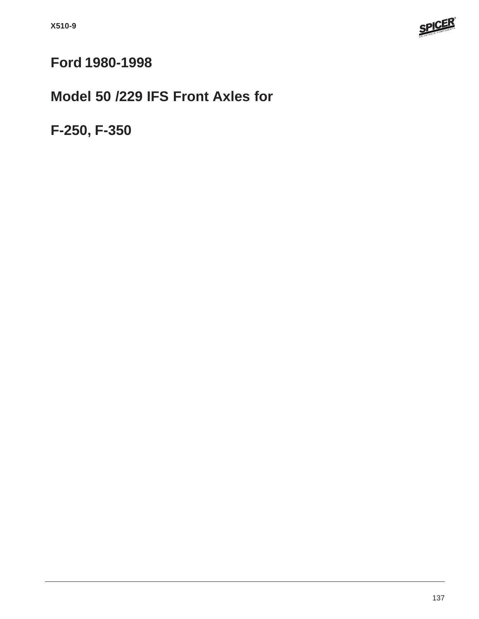

## **Ford 1980-1998**

# **Model 50 /229 IFS Front Axles for**

**F-250, F-350**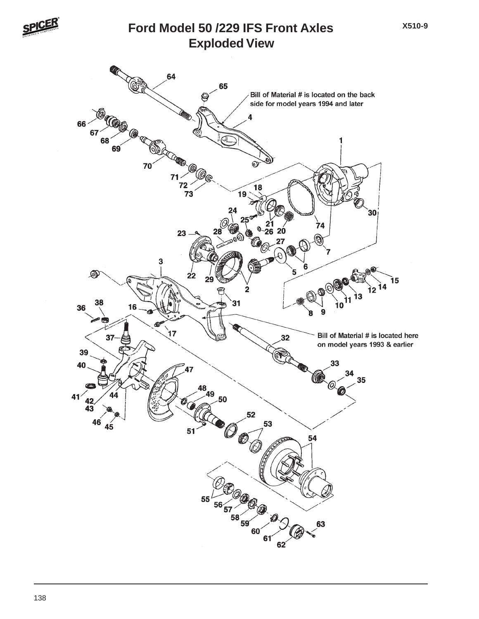

#### **Exploded View Ford Model 50 /229 IFS Front Axles**

**X510-9**

Bill of Material # is located on the back side for model years 1994 and later ை 26 20 ର  $\circledast$ Ì5 つく Ì2 Bill of Material # is located here on model years 1993 & earlier  $\frac{41}{42}$ ຜ∗  $55<sup>′</sup>$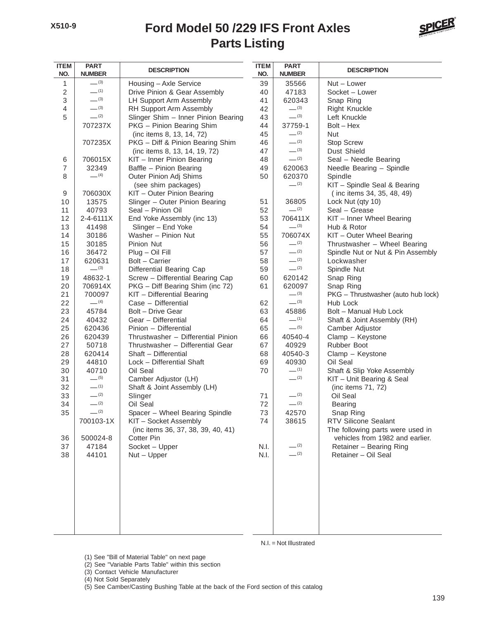#### **Parts Listing Ford Model 50 /229 IFS Front Axles**



| <b>ITEM</b><br>NO. | <b>PART</b><br><b>DESCRIPTION</b><br><b>NUMBER</b> |                                                             | <b>ITEM</b><br>NO. | <b>PART</b><br><b>NUMBER</b> | <b>DESCRIPTION</b>                 |
|--------------------|----------------------------------------------------|-------------------------------------------------------------|--------------------|------------------------------|------------------------------------|
| 1                  | $-^{(3)}$                                          | Housing - Axle Service                                      | 39                 | 35566                        | Nut - Lower                        |
| $\sqrt{2}$         | $-$ (1)                                            | Drive Pinion & Gear Assembly                                | 40                 | 47183                        | Socket - Lower                     |
| 3                  | $-^{(3)}$                                          | LH Support Arm Assembly                                     | 41                 | 620343                       | Snap Ring                          |
| 4                  | $-^{(3)}$                                          | RH Support Arm Assembly                                     | 42                 | $-^{(3)}$                    | <b>Right Knuckle</b>               |
| 5                  | $- (2)$                                            | Slinger Shim - Inner Pinion Bearing                         | 43                 | $-^{(3)}$                    | Left Knuckle                       |
|                    | 707237X                                            | PKG - Pinion Bearing Shim                                   | 44                 | 37759-1                      | $Bolt - Hex$                       |
|                    |                                                    | (inc items 8, 13, 14, 72)                                   | 45                 | $-^{(2)}$                    | <b>Nut</b>                         |
|                    | 707235X                                            | PKG - Diff & Pinion Bearing Shim                            | 46                 | $-^{(2)}$                    | Stop Screw                         |
|                    |                                                    | (inc items 8, 13, 14, 19, 72)                               | 47                 | $-^{(3)}$                    | Dust Shield                        |
| 6                  | 706015X                                            | KIT - Inner Pinion Bearing                                  | 48                 | $-^{(2)}$                    | Seal - Needle Bearing              |
| $\overline{7}$     | 32349                                              | Baffle - Pinion Bearing                                     | 49                 | 620063                       | Needle Bearing - Spindle           |
| 8                  | $-$ (4)                                            | Outer Pinion Adj Shims                                      | 50                 | 620370                       | Spindle                            |
|                    |                                                    | (see shim packages)                                         |                    | $-^{(2)}$                    | KIT - Spindle Seal & Bearing       |
| 9                  | 706030X                                            | KIT - Outer Pinion Bearing                                  |                    |                              | (inc items 34, 35, 48, 49)         |
| 10                 | 13575                                              | Slinger - Outer Pinion Bearing                              | 51                 | 36805                        | Lock Nut (qty 10)                  |
| 11                 | 40793                                              | Seal - Pinion Oil                                           | 52                 | $-^{(2)}$                    | Seal - Grease                      |
| 12                 | 2-4-6111X                                          | End Yoke Assembly (inc 13)                                  | 53                 | 706411X                      | KIT - Inner Wheel Bearing          |
| 13                 | 41498                                              | Slinger - End Yoke                                          | 54                 | $-^{(3)}$                    | Hub & Rotor                        |
| 14                 | 30186                                              | Washer - Pinion Nut                                         | 55                 | 706074X                      | KIT - Outer Wheel Bearing          |
| 15                 | 30185                                              | Pinion Nut                                                  | 56                 | $-^{(2)}$                    | Thrustwasher - Wheel Bearing       |
| 16                 | 36472                                              | $Plug - Oil Fill$                                           | 57                 | $- (2)$                      | Spindle Nut or Nut & Pin Assembly  |
| 17                 | 620631                                             | Bolt - Carrier                                              | 58                 | $-^{(2)}$                    | Lockwasher                         |
| 18                 | $-^{(3)}$                                          | Differential Bearing Cap                                    | 59                 | $-^{(2)}$                    | Spindle Nut                        |
| 19                 | 48632-1                                            | Screw - Differential Bearing Cap                            | 60                 | 620142                       | Snap Ring                          |
| 20                 | 706914X                                            | PKG - Diff Bearing Shim (inc 72)                            | 61                 | 620097                       | Snap Ring                          |
| 21                 | 700097                                             | KIT - Differential Bearing                                  |                    | $-^{(3)}$                    | PKG - Thrustwasher (auto hub lock) |
| 22                 | $- (4)$                                            | Case - Differential                                         | 62                 | $-^{(3)}$                    | Hub Lock                           |
| 23                 | 45784                                              | Bolt - Drive Gear                                           | 63                 | 45886<br>$-$ (1)             | Bolt - Manual Hub Lock             |
| 24                 | 40432                                              | Gear - Differential                                         | 64                 | $-$ (5)                      | Shaft & Joint Assembly (RH)        |
| 25                 | 620436                                             | Pinion - Differential<br>Thrustwasher - Differential Pinion | 65                 |                              | Camber Adjustor                    |
| 26                 | 620439                                             |                                                             | 66                 | 40540-4                      | Clamp - Keystone                   |
| 27<br>28           | 50718<br>620414                                    | Thrustwasher - Differential Gear<br>Shaft - Differential    | 67<br>68           | 40929<br>40540-3             | Rubber Boot                        |
| 29                 | 44810                                              | Lock - Differential Shaft                                   | 69                 | 40930                        | Clamp - Keystone<br>Oil Seal       |
| 30                 | 40710                                              | Oil Seal                                                    | 70                 | $-$ (1)                      | Shaft & Slip Yoke Assembly         |
| 31                 | $-$ (5)                                            | Camber Adjustor (LH)                                        |                    | $-^{(2)}$                    | KIT - Unit Bearing & Seal          |
| 32                 | $-$ (1)                                            | Shaft & Joint Assembly (LH)                                 |                    |                              | (inc items 71, 72)                 |
| 33                 | $-^{(2)}$                                          | Slinger                                                     | 71                 | $-$ (2)                      | Oil Seal                           |
| 34                 | $-^{(2)}$                                          | Oil Seal                                                    | 72                 | $-$ (2)                      | <b>Bearing</b>                     |
| 35                 | $-^{(2)}$                                          | Spacer - Wheel Bearing Spindle                              | 73                 | 42570                        | Snap Ring                          |
|                    | 700103-1X                                          | KIT - Socket Assembly                                       | 74                 | 38615                        | RTV Silicone Sealant               |
|                    |                                                    | (inc items 36, 37, 38, 39, 40, 41)                          |                    |                              | The following parts were used in   |
| 36                 | 500024-8                                           | Cotter Pin                                                  |                    |                              | vehicles from 1982 and earlier.    |
| 37                 | 47184                                              | Socket - Upper                                              | N.I.               | $-^{(2)}$                    | Retainer - Bearing Ring            |
| 38                 | 44101                                              | $Nut - Upper$                                               | N.I.               | $-^{(2)}$                    | Retainer - Oil Seal                |
|                    |                                                    |                                                             |                    |                              |                                    |
|                    |                                                    |                                                             |                    |                              |                                    |
|                    |                                                    |                                                             |                    |                              |                                    |
|                    |                                                    |                                                             |                    |                              |                                    |
|                    |                                                    |                                                             |                    |                              |                                    |

N.I. = Not Illustrated

(1) See "Bill of Material Table" on next page

- (2) See "Variable Parts Table" within this section
- (3) Contact Vehicle Manufacturer

(4) Not Sold Separately

(5) See Camber/Casting Bushing Table at the back of the Ford section of this catalog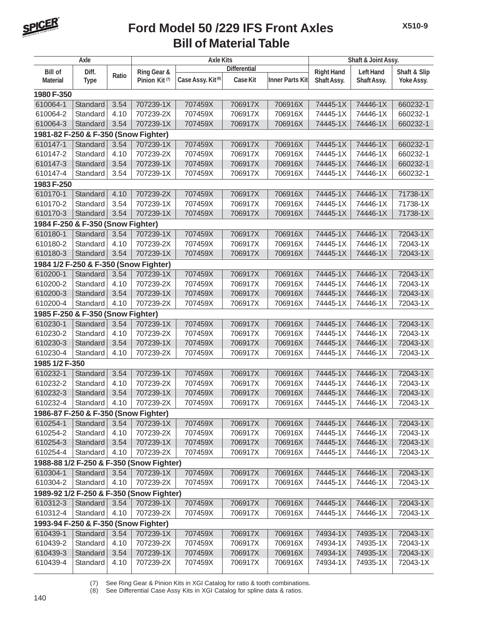

#### **Bill of Material Table Ford Model 50 /229 IFS Front Axles**

|                                          | Axle                 |       |                                          | <b>Axle Kits</b>              | Shaft & Joint Assy.                |         |                                  |                                 |                            |  |  |
|------------------------------------------|----------------------|-------|------------------------------------------|-------------------------------|------------------------------------|---------|----------------------------------|---------------------------------|----------------------------|--|--|
|                                          |                      |       | <b>Differential</b>                      |                               |                                    |         |                                  |                                 |                            |  |  |
| <b>Bill of</b><br><b>Material</b>        | Diff.<br><b>Type</b> | Ratio | Ring Gear &<br>Pinion Kit <sup>(7)</sup> | Case Assy. Kit <sup>(8)</sup> | <b>Case Kit</b><br>Inner Parts Kit |         | <b>Right Hand</b><br>Shaft Assy. | <b>Left Hand</b><br>Shaft Assy. | Shaft & Slip<br>Yoke Assy. |  |  |
| 1980 F-350                               |                      |       |                                          |                               |                                    |         |                                  |                                 |                            |  |  |
| 610064-1                                 | Standard             | 3.54  | 707239-1X                                | 707459X                       | 706917X                            | 706916X | 74445-1X                         | 74446-1X                        | 660232-1                   |  |  |
| 610064-2                                 | Standard             | 4.10  | 707239-2X                                | 707459X                       | 706917X                            | 706916X | 74445-1X                         | 74446-1X                        | 660232-1                   |  |  |
| 610064-3                                 | Standard             | 3.54  | 707239-1X                                | 707459X                       | 706917X                            | 706916X | 74445-1X                         | 74446-1X                        | 660232-1                   |  |  |
| 1981-82 F-250 & F-350 (Snow Fighter)     |                      |       |                                          |                               |                                    |         |                                  |                                 |                            |  |  |
| 610147-1                                 | Standard             | 3.54  | 707239-1X                                | 707459X                       | 706917X                            | 706916X | 74445-1X                         | 74446-1X                        | 660232-1                   |  |  |
| 610147-2                                 | Standard             | 4.10  | 707239-2X                                | 707459X                       | 706917X                            | 706916X | 74445-1X                         | 74446-1X                        | 660232-1                   |  |  |
|                                          |                      |       | 707239-1X                                |                               |                                    | 706916X |                                  |                                 |                            |  |  |
| 610147-3                                 | Standard             | 3.54  |                                          | 707459X                       | 706917X                            |         | 74445-1X                         | 74446-1X                        | 660232-1                   |  |  |
| 610147-4                                 | Standard             | 3.54  | 707239-1X                                | 707459X                       | 706917X                            | 706916X | 74445-1X                         | 74446-1X                        | 660232-1                   |  |  |
| 1983 F-250                               |                      |       |                                          |                               |                                    |         |                                  |                                 |                            |  |  |
| 610170-1                                 | Standard             | 4.10  | 707239-2X                                | 707459X                       | 706917X                            | 706916X | 74445-1X                         | 74446-1X                        | 71738-1X                   |  |  |
| 610170-2                                 | Standard             | 3.54  | 707239-1X                                | 707459X                       | 706917X                            | 706916X | 74445-1X                         | 74446-1X                        | 71738-1X                   |  |  |
| 610170-3                                 | Standard             | 3.54  | 707239-1X                                | 707459X                       | 706917X                            | 706916X | 74445-1X                         | 74446-1X                        | 71738-1X                   |  |  |
| 1984 F-250 & F-350 (Snow Fighter)        |                      |       |                                          |                               |                                    |         |                                  |                                 |                            |  |  |
| 610180-1                                 | Standard             | 3.54  | 707239-1X                                | 707459X                       | 706917X                            | 706916X | 74445-1X                         | 74446-1X                        | 72043-1X                   |  |  |
| 610180-2                                 | Standard             | 4.10  | 707239-2X                                | 707459X                       | 706917X                            | 706916X | 74445-1X                         | 74446-1X                        | 72043-1X                   |  |  |
| 610180-3                                 | Standard             | 3.54  | 707239-1X                                | 707459X                       | 706917X                            | 706916X | 74445-1X                         | 74446-1X                        | 72043-1X                   |  |  |
|                                          |                      |       | 1984 1/2 F-250 & F-350 (Snow Fighter)    |                               |                                    |         |                                  |                                 |                            |  |  |
| 610200-1                                 | Standard             | 3.54  | 707239-1X                                | 707459X                       | 706917X                            | 706916X | 74445-1X                         | 74446-1X                        | 72043-1X                   |  |  |
| 610200-2                                 | Standard             | 4.10  | 707239-2X                                | 707459X                       | 706917X                            | 706916X | 74445-1X                         | 74446-1X                        | 72043-1X                   |  |  |
| 610200-3                                 | Standard             | 3.54  | 707239-1X                                | 707459X                       | 706917X                            | 706916X | 74445-1X                         | 74446-1X                        | 72043-1X                   |  |  |
| 610200-4                                 | Standard             | 4.10  | 707239-2X                                | 707459X                       | 706917X                            | 706916X | 74445-1X                         | 74446-1X                        | 72043-1X                   |  |  |
| 1985 F-250 & F-350 (Snow Fighter)        |                      |       |                                          |                               |                                    |         |                                  |                                 |                            |  |  |
| 610230-1                                 | Standard             | 3.54  | 707239-1X                                | 707459X                       | 706917X                            | 706916X | 74445-1X                         | 74446-1X                        | 72043-1X                   |  |  |
| 610230-2                                 | Standard             | 4.10  | 707239-2X                                | 707459X                       | 706917X                            | 706916X | 74445-1X                         | 74446-1X                        | 72043-1X                   |  |  |
| 610230-3                                 | Standard             | 3.54  | 707239-1X                                | 707459X                       | 706917X                            | 706916X | 74445-1X                         | 74446-1X                        | 72043-1X                   |  |  |
| 610230-4                                 | Standard             | 4.10  | 707239-2X                                | 707459X                       | 706917X                            | 706916X | 74445-1X                         | 74446-1X                        | 72043-1X                   |  |  |
| 1985 1/2 F-350                           |                      |       |                                          |                               |                                    |         |                                  |                                 |                            |  |  |
| 610232-1                                 | Standard             | 3.54  | 707239-1X                                | 707459X                       | 706917X                            | 706916X | 74445-1X                         | 74446-1X                        | 72043-1X                   |  |  |
| 610232-2                                 | Standard             | 4.10  | 707239-2X                                | 707459X                       | 706917X                            | 706916X | 74445-1X                         | 74446-1X                        | 72043-1X                   |  |  |
| 610232-3                                 | Standard             | 3.54  | 707239-1X                                | 707459X                       | 706917X                            | 706916X | 74445-1X                         | 74446-1X                        | 72043-1X                   |  |  |
| 610232-4   Standard   4.10               |                      |       | 707239-2X                                | 707459X                       | 706917X                            | 706916X | 74445-1X                         | 74446-1X                        | 72043-1X                   |  |  |
| 1986-87 F-250 & F-350 (Snow Fighter)     |                      |       |                                          |                               |                                    |         |                                  |                                 |                            |  |  |
| 610254-1                                 | Standard             | 3.54  | 707239-1X                                | 707459X                       | 706917X                            | 706916X | 74445-1X                         | 74446-1X                        | 72043-1X                   |  |  |
| 610254-2                                 | Standard             | 4.10  | 707239-2X                                | 707459X                       | 706917X                            | 706916X | 74445-1X                         | 74446-1X                        | 72043-1X                   |  |  |
| 610254-3                                 | Standard             | 3.54  | 707239-1X                                | 707459X                       | 706917X                            | 706916X | 74445-1X                         | 74446-1X                        | 72043-1X                   |  |  |
| 610254-4                                 | Standard             | 4.10  | 707239-2X                                | 707459X                       | 706917X                            | 706916X | 74445-1X                         | 74446-1X                        | 72043-1X                   |  |  |
|                                          |                      |       | 1988-88 1/2 F-250 & F-350 (Snow Fighter) |                               |                                    |         |                                  |                                 |                            |  |  |
| 610304-1                                 | Standard             | 3.54  | 707239-1X                                | 707459X                       | 706917X                            | 706916X | 74445-1X                         | 74446-1X                        | 72043-1X                   |  |  |
| 610304-2                                 | Standard             | 4.10  | 707239-2X                                | 707459X                       | 706917X                            | 706916X | 74445-1X                         | 74446-1X                        | 72043-1X                   |  |  |
| 1989-92 1/2 F-250 & F-350 (Snow Fighter) |                      |       |                                          |                               |                                    |         |                                  |                                 |                            |  |  |
| 610312-3                                 | Standard             | 3.54  | 707239-1X                                | 707459X                       | 706917X                            | 706916X | 74445-1X                         | 74446-1X                        | 72043-1X                   |  |  |
| 610312-4                                 | Standard             | 4.10  | 707239-2X                                | 707459X                       | 706917X                            | 706916X | 74445-1X                         | 74446-1X                        | 72043-1X                   |  |  |
| 1993-94 F-250 & F-350 (Snow Fighter)     |                      |       |                                          |                               |                                    |         |                                  |                                 |                            |  |  |
| 610439-1                                 | Standard             | 3.54  | 707239-1X                                | 707459X                       | 706917X                            | 706916X | 74934-1X                         | 74935-1X                        | 72043-1X                   |  |  |
| 610439-2                                 | Standard             | 4.10  | 707239-2X                                | 707459X                       | 706917X                            | 706916X | 74934-1X                         | 74935-1X                        | 72043-1X                   |  |  |
| 610439-3                                 | Standard             | 3.54  | 707239-1X                                | 707459X                       | 706917X                            | 706916X | 74934-1X                         | 74935-1X                        | 72043-1X                   |  |  |
| 610439-4                                 | Standard             | 4.10  | 707239-2X                                | 707459X                       | 706917X                            | 706916X | 74934-1X                         | 74935-1X                        | 72043-1X                   |  |  |
|                                          |                      |       |                                          |                               |                                    |         |                                  |                                 |                            |  |  |

(7) See Ring Gear & Pinion Kits in XGI Catalog for ratio & tooth combinations.

(8) See Differential Case Assy Kits in XGI Catalog for spline data & ratios.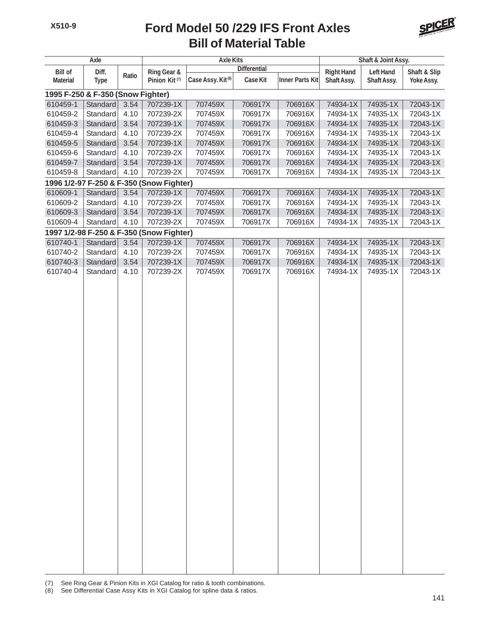#### **Bill of Material Table Ford Model 50 /229 IFS Front Axles**



| <b>Axle</b>                              |             |             |                                          | <b>Axle Kits</b>              |          | Shaft & Joint Assy.    |                  |              |            |  |  |
|------------------------------------------|-------------|-------------|------------------------------------------|-------------------------------|----------|------------------------|------------------|--------------|------------|--|--|
| <b>Bill of</b><br>Diff.                  |             | Ring Gear & | <b>Differential</b>                      |                               |          | <b>Right Hand</b>      | <b>Left Hand</b> | Shaft & Slip |            |  |  |
| <b>Material</b>                          | <b>Type</b> | Ratio       | Pinion Kit <sup>(7)</sup>                | Case Assy. Kit <sup>(8)</sup> | Case Kit | <b>Inner Parts Kit</b> | Shaft Assy.      | Shaft Assy.  | Yoke Assy. |  |  |
| 1995 F-250 & F-350 (Snow Fighter)        |             |             |                                          |                               |          |                        |                  |              |            |  |  |
| 610459-1                                 | Standard    | 3.54        | 707239-1X                                | 707459X                       | 706917X  | 706916X                | 74934-1X         | 74935-1X     | 72043-1X   |  |  |
| 610459-2                                 | Standard    | 4.10        | 707239-2X                                | 707459X                       | 706917X  | 706916X                | 74934-1X         | 74935-1X     | 72043-1X   |  |  |
| 610459-3                                 | Standard    | 3.54        | 707239-1X                                | 707459X                       | 706917X  | 706916X                | 74934-1X         | 74935-1X     | 72043-1X   |  |  |
| 610459-4                                 | Standard    | 4.10        | 707239-2X                                | 707459X                       | 706917X  | 706916X                | 74934-1X         | 74935-1X     | 72043-1X   |  |  |
| 610459-5                                 | Standard    | 3.54        | 707239-1X                                | 707459X                       | 706917X  | 706916X                | 74934-1X         | 74935-1X     | 72043-1X   |  |  |
| 610459-6                                 | Standard    | 4.10        | 707239-2X                                | 707459X                       | 706917X  | 706916X                | 74934-1X         | 74935-1X     | 72043-1X   |  |  |
| 610459-7                                 | Standard    | 3.54        | 707239-1X                                | 707459X                       | 706917X  | 706916X                | 74934-1X         | 74935-1X     | 72043-1X   |  |  |
| 610459-8                                 | Standard    | 4.10        | 707239-2X                                | 707459X                       | 706917X  | 706916X                | 74934-1X         | 74935-1X     | 72043-1X   |  |  |
| 1996 1/2-97 F-250 & F-350 (Snow Fighter) |             |             |                                          |                               |          |                        |                  |              |            |  |  |
| 610609-1                                 | Standard    | 3.54        | 707239-1X                                | 707459X                       | 706917X  | 706916X                | 74934-1X         | 74935-1X     | 72043-1X   |  |  |
| 610609-2                                 | Standard    | 4.10        | 707239-2X                                | 707459X                       | 706917X  | 706916X                | 74934-1X         | 74935-1X     | 72043-1X   |  |  |
| 610609-3                                 | Standard    | 3.54        | 707239-1X                                | 707459X                       | 706917X  | 706916X                | 74934-1X         | 74935-1X     | 72043-1X   |  |  |
| 610609-4                                 | Standard    | 4.10        | 707239-2X                                | 707459X                       | 706917X  | 706916X                | 74934-1X         | 74935-1X     | 72043-1X   |  |  |
|                                          |             |             | 1997 1/2-98 F-250 & F-350 (Snow Fighter) |                               |          |                        |                  |              |            |  |  |
| 610740-1                                 | Standard    | 3.54        | 707239-1X                                | 707459X                       | 706917X  | 706916X                | 74934-1X         | 74935-1X     | 72043-1X   |  |  |
| 610740-2                                 | Standard    | 4.10        | 707239-2X                                | 707459X                       | 706917X  | 706916X                | 74934-1X         | 74935-1X     | 72043-1X   |  |  |
| 610740-3                                 | Standard    | 3.54        | 707239-1X                                | 707459X                       | 706917X  | 706916X                | 74934-1X         | 74935-1X     | 72043-1X   |  |  |
| 610740-4                                 | Standard    | 4.10        | 707239-2X                                | 707459X                       | 706917X  | 706916X                | 74934-1X         | 74935-1X     | 72043-1X   |  |  |
|                                          |             |             |                                          |                               |          |                        |                  |              |            |  |  |

(7) See Ring Gear & Pinion Kits in XGI Catalog for ratio & tooth combinations.

(8) See Differential Case Assy Kits in XGI Catalog for spline data & ratios.